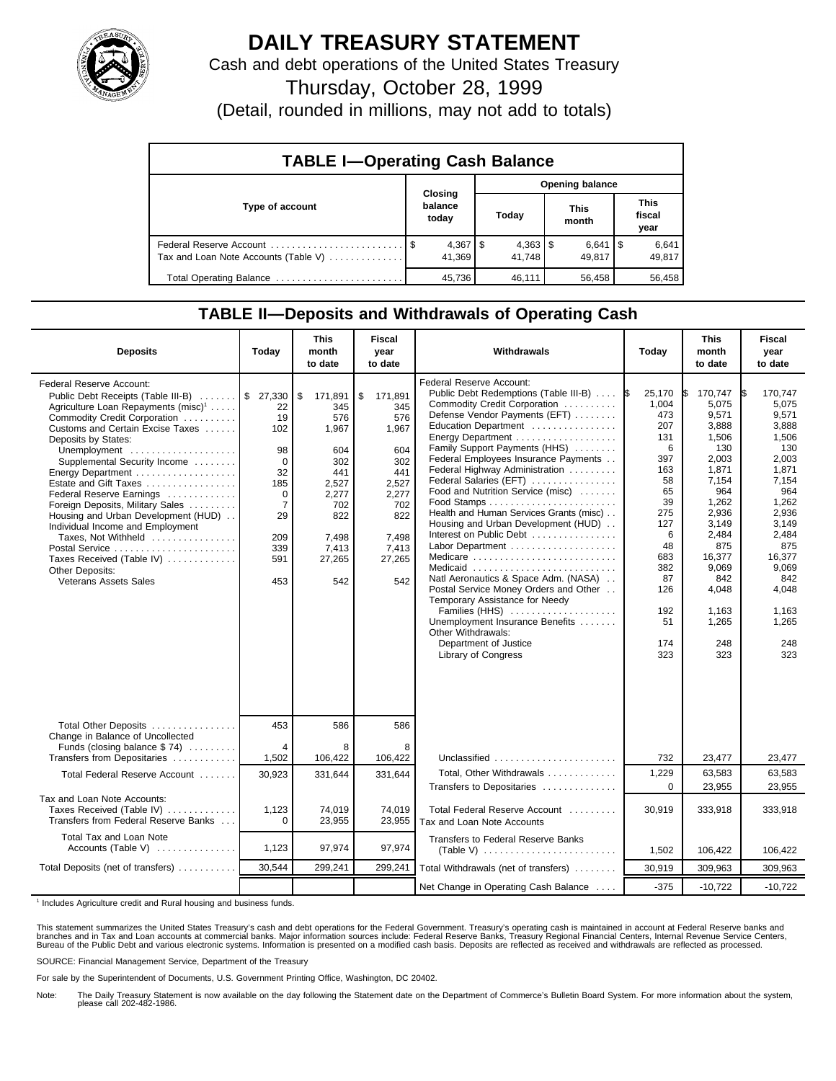

## **DAILY TREASURY STATEMENT**

Cash and debt operations of the United States Treasury

Thursday, October 28, 1999

(Detail, rounded in millions, may not add to totals)

| <b>TABLE I-Operating Cash Balance</b> |  |                                 |                        |        |  |                      |  |                               |  |
|---------------------------------------|--|---------------------------------|------------------------|--------|--|----------------------|--|-------------------------------|--|
|                                       |  |                                 | <b>Opening balance</b> |        |  |                      |  |                               |  |
| Type of account                       |  | Closing<br>balance<br>today     |                        | Today  |  | <b>This</b><br>month |  | <b>This</b><br>fiscal<br>year |  |
| Tax and Loan Note Accounts (Table V)  |  | $4,367$ $\frac{1}{3}$<br>41.369 |                        | 41.748 |  | $6,641$ S<br>49.817  |  | 6,641<br>49,817               |  |
| Total Operating Balance               |  | 45.736                          |                        | 46.111 |  | 56.458               |  | 56.458                        |  |

## **TABLE II—Deposits and Withdrawals of Operating Cash**

| <b>Deposits</b>                                                                                                                                                                                                                                                                                                                                                                                                                                                                                                                                                                | Today                                                                                                                  | <b>This</b><br>month<br>to date                                                                                              | <b>Fiscal</b><br>year<br>to date                                                                                             | Withdrawals                                                                                                                                                                                                                                                                                                                                                                                                                                                                                                                                                                                                                                                                                                                                                                       | Today                                                                                                                                                    | <b>This</b><br>month<br>to date                                                                                                                                                                           | <b>Fiscal</b><br>year<br>to date                                                                                                                                                                          |
|--------------------------------------------------------------------------------------------------------------------------------------------------------------------------------------------------------------------------------------------------------------------------------------------------------------------------------------------------------------------------------------------------------------------------------------------------------------------------------------------------------------------------------------------------------------------------------|------------------------------------------------------------------------------------------------------------------------|------------------------------------------------------------------------------------------------------------------------------|------------------------------------------------------------------------------------------------------------------------------|-----------------------------------------------------------------------------------------------------------------------------------------------------------------------------------------------------------------------------------------------------------------------------------------------------------------------------------------------------------------------------------------------------------------------------------------------------------------------------------------------------------------------------------------------------------------------------------------------------------------------------------------------------------------------------------------------------------------------------------------------------------------------------------|----------------------------------------------------------------------------------------------------------------------------------------------------------|-----------------------------------------------------------------------------------------------------------------------------------------------------------------------------------------------------------|-----------------------------------------------------------------------------------------------------------------------------------------------------------------------------------------------------------|
| Federal Reserve Account:<br>Public Debt Receipts (Table III-B)<br>Agriculture Loan Repayments (misc) <sup>1</sup><br>Commodity Credit Corporation<br>Customs and Certain Excise Taxes<br>Deposits by States:<br>Unemployment<br>Supplemental Security Income<br>Energy Department<br>Estate and Gift Taxes<br>Federal Reserve Earnings<br>Foreign Deposits, Military Sales<br>Housing and Urban Development (HUD)<br>Individual Income and Employment<br>Taxes, Not Withheld<br>Postal Service<br>Taxes Received (Table IV)<br>Other Deposits:<br><b>Veterans Assets Sales</b> | \$27,330<br>22<br>19<br>102<br>98<br>$\mathbf 0$<br>32<br>185<br>0<br>$\overline{7}$<br>29<br>209<br>339<br>591<br>453 | \$<br>171,891<br>345<br>576<br>1,967<br>604<br>302<br>441<br>2.527<br>2,277<br>702<br>822<br>7,498<br>7,413<br>27,265<br>542 | \$<br>171,891<br>345<br>576<br>1,967<br>604<br>302<br>441<br>2.527<br>2,277<br>702<br>822<br>7.498<br>7,413<br>27,265<br>542 | <b>Federal Reserve Account:</b><br>Public Debt Redemptions (Table III-B)  S<br>Commodity Credit Corporation<br>Defense Vendor Payments (EFT)<br>Education Department<br>Energy Department<br>Family Support Payments (HHS)<br>Federal Employees Insurance Payments<br>Federal Highway Administration<br>Federal Salaries (EFT)<br>Food and Nutrition Service (misc)<br>Health and Human Services Grants (misc)<br>Housing and Urban Development (HUD)<br>Interest on Public Debt<br>Labor Department<br>Medicare<br>Medicaid<br>Natl Aeronautics & Space Adm. (NASA)<br>Postal Service Money Orders and Other<br>Temporary Assistance for Needy<br>Families (HHS)<br>Unemployment Insurance Benefits<br>Other Withdrawals:<br>Department of Justice<br><b>Library of Congress</b> | 25,170<br>1,004<br>473<br>207<br>131<br>6<br>397<br>163<br>58<br>65<br>39<br>275<br>127<br>6<br>48<br>683<br>382<br>87<br>126<br>192<br>51<br>174<br>323 | 170,747<br>I\$<br>5,075<br>9.571<br>3.888<br>1,506<br>130<br>2,003<br>1,871<br>7,154<br>964<br>1.262<br>2,936<br>3,149<br>2,484<br>875<br>16,377<br>9,069<br>842<br>4,048<br>1,163<br>1,265<br>248<br>323 | 170.747<br>1\$<br>5,075<br>9.571<br>3.888<br>1,506<br>130<br>2.003<br>1,871<br>7,154<br>964<br>1.262<br>2,936<br>3,149<br>2,484<br>875<br>16,377<br>9,069<br>842<br>4,048<br>1,163<br>1,265<br>248<br>323 |
| Total Other Deposits<br>Change in Balance of Uncollected<br>Funds (closing balance $$74$ )                                                                                                                                                                                                                                                                                                                                                                                                                                                                                     | 453<br>$\overline{4}$                                                                                                  | 586<br>8                                                                                                                     | 586<br>8                                                                                                                     |                                                                                                                                                                                                                                                                                                                                                                                                                                                                                                                                                                                                                                                                                                                                                                                   |                                                                                                                                                          |                                                                                                                                                                                                           |                                                                                                                                                                                                           |
| Transfers from Depositaries<br>Total Federal Reserve Account                                                                                                                                                                                                                                                                                                                                                                                                                                                                                                                   | 1,502<br>30,923                                                                                                        | 106,422<br>331,644                                                                                                           | 106,422<br>331,644                                                                                                           | Unclassified $\ldots \ldots \ldots \ldots \ldots \ldots$<br>Total, Other Withdrawals                                                                                                                                                                                                                                                                                                                                                                                                                                                                                                                                                                                                                                                                                              | 732<br>1,229                                                                                                                                             | 23,477<br>63,583                                                                                                                                                                                          | 23,477<br>63,583                                                                                                                                                                                          |
|                                                                                                                                                                                                                                                                                                                                                                                                                                                                                                                                                                                |                                                                                                                        |                                                                                                                              |                                                                                                                              | Transfers to Depositaries                                                                                                                                                                                                                                                                                                                                                                                                                                                                                                                                                                                                                                                                                                                                                         | $\Omega$                                                                                                                                                 | 23,955                                                                                                                                                                                                    | 23,955                                                                                                                                                                                                    |
| Tax and Loan Note Accounts:<br>Taxes Received (Table IV)<br>Transfers from Federal Reserve Banks                                                                                                                                                                                                                                                                                                                                                                                                                                                                               | 1,123<br>$\Omega$                                                                                                      | 74,019<br>23,955                                                                                                             | 74,019<br>23,955                                                                                                             | Total Federal Reserve Account<br>Tax and Loan Note Accounts                                                                                                                                                                                                                                                                                                                                                                                                                                                                                                                                                                                                                                                                                                                       | 30,919                                                                                                                                                   | 333,918                                                                                                                                                                                                   | 333,918                                                                                                                                                                                                   |
| Total Tax and Loan Note<br>Accounts (Table V)                                                                                                                                                                                                                                                                                                                                                                                                                                                                                                                                  | 1,123                                                                                                                  | 97,974                                                                                                                       | 97,974                                                                                                                       | <b>Transfers to Federal Reserve Banks</b>                                                                                                                                                                                                                                                                                                                                                                                                                                                                                                                                                                                                                                                                                                                                         | 1,502                                                                                                                                                    | 106,422                                                                                                                                                                                                   | 106,422                                                                                                                                                                                                   |
| Total Deposits (net of transfers)                                                                                                                                                                                                                                                                                                                                                                                                                                                                                                                                              | 30,544                                                                                                                 | 299,241                                                                                                                      | 299,241                                                                                                                      | Total Withdrawals (net of transfers)                                                                                                                                                                                                                                                                                                                                                                                                                                                                                                                                                                                                                                                                                                                                              | 30,919                                                                                                                                                   | 309,963                                                                                                                                                                                                   | 309,963                                                                                                                                                                                                   |
|                                                                                                                                                                                                                                                                                                                                                                                                                                                                                                                                                                                |                                                                                                                        |                                                                                                                              |                                                                                                                              | Net Change in Operating Cash Balance                                                                                                                                                                                                                                                                                                                                                                                                                                                                                                                                                                                                                                                                                                                                              | $-375$                                                                                                                                                   | $-10,722$                                                                                                                                                                                                 | $-10.722$                                                                                                                                                                                                 |

<sup>1</sup> Includes Agriculture credit and Rural housing and business funds.

This statement summarizes the United States Treasury's cash and debt operations for the Federal Government. Treasury's operating cash is maintained in account at Federal Reserve banks and<br>branches and in Tax and Loan accou

SOURCE: Financial Management Service, Department of the Treasury

For sale by the Superintendent of Documents, U.S. Government Printing Office, Washington, DC 20402.

Note: The Daily Treasury Statement is now available on the day following the Statement date on the Department of Commerce's Bulletin Board System. For more information about the system, please call 202-482-1986.